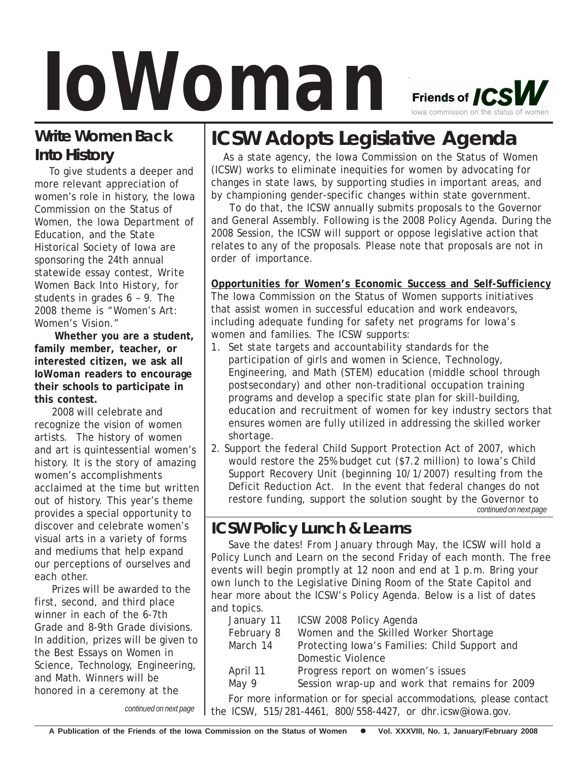# *IoWoman*

# **Write Women Back Into History**

 To give students a deeper and more relevant appreciation of women's role in history, the Iowa Commission on the Status of Women, the Iowa Department of Education, and the State Historical Society of Iowa are sponsoring the 24th annual statewide essay contest, *Write Women Back Into History*, for students in grades 6 – 9. The 2008 theme is "Women's Art: Women's Vision."

 **Whether you are a student, family member, teacher, or interested citizen, we ask all** *IoWoman* **readers to encourage their schools to participate in this contest.**

2008 will celebrate and recognize the vision of women artists. The history of women and art is quintessential women's history. It is the story of amazing women's accomplishments acclaimed at the time but written out of history. This year's theme provides a special opportunity to discover and celebrate women's visual arts in a variety of forms and mediums that help expand our perceptions of ourselves and each other.

Prizes will be awarded to the first, second, and third place winner in each of the 6-7th Grade and 8-9th Grade divisions. In addition, prizes will be given to the Best Essays on Women in Science, Technology, Engineering, and Math. Winners will be honored in a ceremony at the

*continued on next page*

# **ICSW Adopts Legislative Agenda**

 As a state agency, the Iowa Commission on the Status of Women (ICSW) works to eliminate inequities for women by advocating for changes in state laws, by supporting studies in important areas, and by championing gender-specific changes within state government.

 To do that, the ICSW annually submits proposals to the Governor and General Assembly. Following is the 2008 Policy Agenda. During the 2008 Session, the ICSW will support or oppose legislative action that relates to any of the proposals. Please note that proposals are not in order of importance.

### **Opportunities for Women's Economic Success and Self-Sufficiency**

The Iowa Commission on the Status of Women supports initiatives that assist women in successful education and work endeavors, including adequate funding for safety net programs for Iowa's women and families. The ICSW supports:

- 1. Set state targets and accountability standards for the participation of girls and women in Science, Technology, Engineering, and Math (STEM) education (middle school through postsecondary) and other non-traditional occupation training programs and develop a specific state plan for skill-building, education and recruitment of women for key industry sectors that ensures women are fully utilized in addressing the skilled worker shortage.
- 2. Support the federal Child Support Protection Act of 2007, which would restore the 25% budget cut (\$7.2 million) to Iowa's Child Support Recovery Unit (beginning 10/1/2007) resulting from the Deficit Reduction Act. In the event that federal changes do not restore funding, support the solution sought by the Governor to *continued on next page*

# **ICSW Policy Lunch & Learns**

Save the dates! From January through May, the ICSW will hold a Policy Lunch and Learn on the second Friday of each month. The free events will begin promptly at 12 noon and end at 1 p.m. Bring your own lunch to the Legislative Dining Room of the State Capitol and hear more about the ICSW's Policy Agenda. Below is a list of dates and topics.

|                                                                    | January 11 | ICSW 2008 Policy Agenda                                     |  |  |  |  |  |  |
|--------------------------------------------------------------------|------------|-------------------------------------------------------------|--|--|--|--|--|--|
|                                                                    | February 8 | Women and the Skilled Worker Shortage                       |  |  |  |  |  |  |
|                                                                    | March 14   | Protecting Iowa's Families: Child Support and               |  |  |  |  |  |  |
|                                                                    |            | Domestic Violence                                           |  |  |  |  |  |  |
| April 11                                                           |            | Progress report on women's issues                           |  |  |  |  |  |  |
|                                                                    | May 9      | Session wrap-up and work that remains for 2009              |  |  |  |  |  |  |
| For more information or for special accommodations, please contact |            |                                                             |  |  |  |  |  |  |
|                                                                    |            | the ICSW, 515/281-4461, 800/558-4427, or dhr.icsw@iowa.gov. |  |  |  |  |  |  |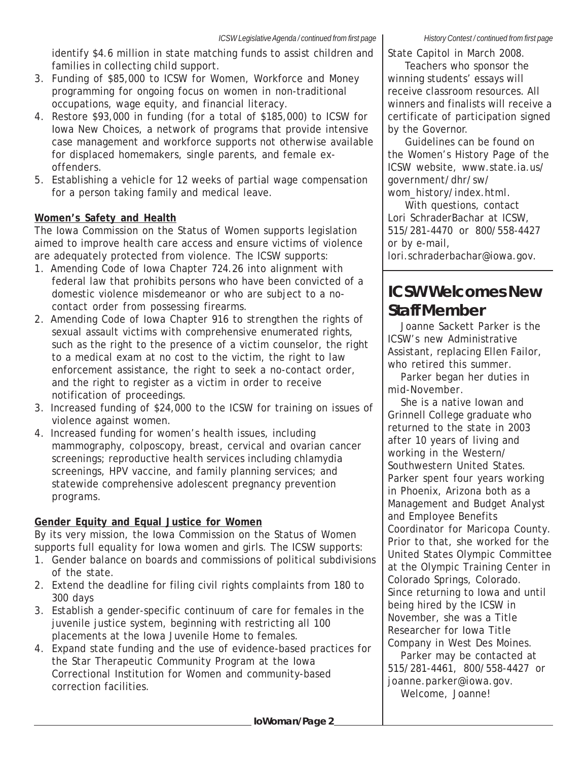identify \$4.6 million in state matching funds to assist children and families in collecting child support.

- 3. Funding of \$85,000 to ICSW for Women, Workforce and Money programming for ongoing focus on women in non-traditional occupations, wage equity, and financial literacy.
- 4. Restore \$93,000 in funding (for a total of \$185,000) to ICSW for Iowa New Choices, a network of programs that provide intensive case management and workforce supports not otherwise available for displaced homemakers, single parents, and female exoffenders.
- 5. Establishing a vehicle for 12 weeks of partial wage compensation for a person taking family and medical leave.

### **Women's Safety and Health**

The Iowa Commission on the Status of Women supports legislation aimed to improve health care access and ensure victims of violence are adequately protected from violence. The ICSW supports:

- 1. Amending Code of Iowa Chapter 724.26 into alignment with federal law that prohibits persons who have been convicted of a domestic violence misdemeanor or who are subject to a nocontact order from possessing firearms.
- 2. Amending Code of Iowa Chapter 916 to strengthen the rights of sexual assault victims with comprehensive enumerated rights, such as the right to the presence of a victim counselor, the right to a medical exam at no cost to the victim, the right to law enforcement assistance, the right to seek a no-contact order, and the right to register as a victim in order to receive notification of proceedings.
- 3. Increased funding of \$24,000 to the ICSW for training on issues of violence against women.
- 4. Increased funding for women's health issues, including mammography, colposcopy, breast, cervical and ovarian cancer screenings; reproductive health services including chlamydia screenings, HPV vaccine, and family planning services; and statewide comprehensive adolescent pregnancy prevention programs.

### **Gender Equity and Equal Justice for Women**

By its very mission, the Iowa Commission on the Status of Women supports full equality for Iowa women and girls. The ICSW supports:

- 1. Gender balance on boards and commissions of political subdivisions of the state.
- 2. Extend the deadline for filing civil rights complaints from 180 to 300 days
- 3. Establish a gender-specific continuum of care for females in the juvenile justice system, beginning with restricting all 100 placements at the Iowa Juvenile Home to females.
- 4. Expand state funding and the use of evidence-based practices for the Star Therapeutic Community Program at the Iowa Correctional Institution for Women and community-based correction facilities.

State Capitol in March 2008.

Teachers who sponsor the winning students' essays will receive classroom resources. All winners and finalists will receive a certificate of participation signed by the Governor.

Guidelines can be found on the Women's History Page of the ICSW website, www.state.ia.us/ government/dhr/sw/

wom\_history/index.html.

With questions, contact Lori SchraderBachar at ICSW, 515/281-4470 or 800/558-4427 or by e-mail,

lori.schraderbachar@iowa.gov.

# **ICSW Welcomes New Staff Member**

Joanne Sackett Parker is the ICSW's new Administrative Assistant, replacing Ellen Failor, who retired this summer.

Parker began her duties in mid-November.

She is a native Iowan and Grinnell College graduate who returned to the state in 2003 after 10 years of living and working in the Western/ Southwestern United States. Parker spent four years working in Phoenix, Arizona both as a Management and Budget Analyst and Employee Benefits Coordinator for Maricopa County. Prior to that, she worked for the United States Olympic Committee at the Olympic Training Center in Colorado Springs, Colorado. Since returning to Iowa and until being hired by the ICSW in November, she was a Title Researcher for Iowa Title Company in West Des Moines.

Parker may be contacted at 515/281-4461, 800/558-4427 or joanne.parker@iowa.gov. Welcome, Joanne!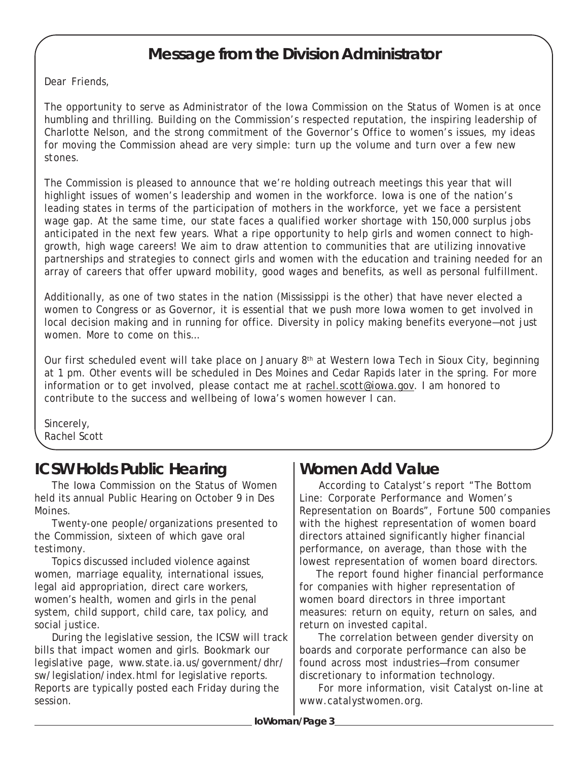# **Message from the Division Administrator**

Dear Friends,

The opportunity to serve as Administrator of the Iowa Commission on the Status of Women is at once humbling and thrilling. Building on the Commission's respected reputation, the inspiring leadership of Charlotte Nelson, and the strong commitment of the Governor's Office to women's issues, my ideas for moving the Commission ahead are very simple: *turn up the volume* and *turn over a few new stones.*

The Commission is pleased to announce that we're holding outreach meetings this year that will highlight issues of women's leadership and women in the workforce. Iowa is one of the nation's leading states in terms of the participation of mothers in the workforce, yet we face a persistent wage gap. At the same time, our state faces a qualified worker shortage with 150,000 surplus jobs anticipated in the next few years. What a ripe opportunity to help girls and women connect to highgrowth, high wage careers! We aim to draw attention to communities that are utilizing innovative partnerships and strategies to connect girls and women with the education and training needed for an array of careers that offer upward mobility, good wages and benefits, as well as personal fulfillment.

Additionally, as one of two states in the nation (Mississippi is the other) that have never elected a women to Congress or as Governor, it is essential that we push more Iowa women to get involved in local decision making and in running for office. Diversity in policy making benefits everyone—not just women. More to come on this…

Our first scheduled event will take place on January  $8<sup>th</sup>$  at Western Iowa Tech in Sioux City, beginning at 1 pm. Other events will be scheduled in Des Moines and Cedar Rapids later in the spring. For more information or to get involved, please contact me at rachel.scott@iowa.gov. I am honored to contribute to the success and wellbeing of Iowa's women however I can.

Sincerely, Rachel Scott

# **ICSW Holds Public Hearing**

The Iowa Commission on the Status of Women held its annual Public Hearing on October 9 in Des Moines.

Twenty-one people/organizations presented to the Commission, sixteen of which gave oral testimony.

Topics discussed included violence against women, marriage equality, international issues, legal aid appropriation, direct care workers, women's health, women and girls in the penal system, child support, child care, tax policy, and social justice.

During the legislative session, the ICSW will track bills that impact women and girls. Bookmark our legislative page, www.state.ia.us/government/dhr/ sw/legislation/index.html for legislative reports. Reports are typically posted each Friday during the session.

# **Women Add Value**

According to Catalyst's report "The Bottom Line: Corporate Performance and Women's Representation on Boards", Fortune 500 companies with the highest representation of women board directors attained significantly higher financial performance, on average, than those with the lowest representation of women board directors.

The report found higher financial performance for companies with higher representation of women board directors in three important measures: return on equity, return on sales, and return on invested capital.

The correlation between gender diversity on boards and corporate performance can also be found across most industries—from consumer discretionary to information technology.

For more information, visit Catalyst on-line at www.catalystwomen.org.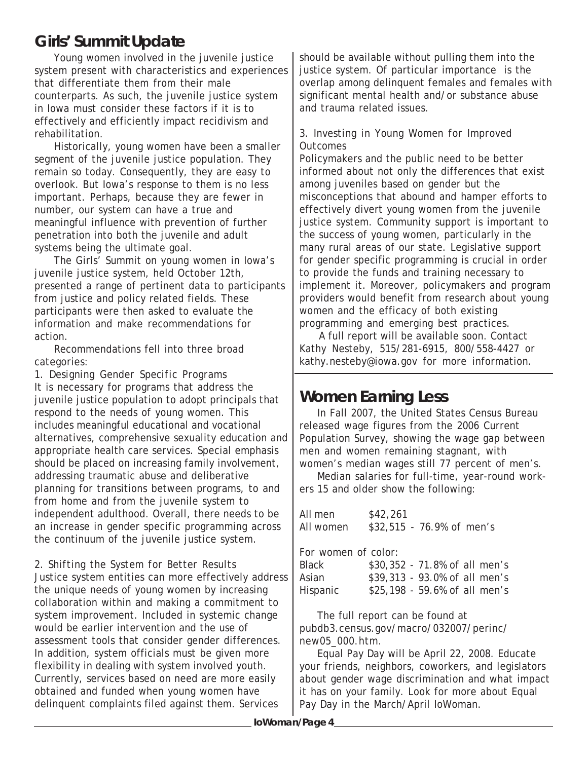# **Girls' Summit Update**

Young women involved in the juvenile justice system present with characteristics and experiences that differentiate them from their male counterparts. As such, the juvenile justice system in Iowa must consider these factors if it is to effectively and efficiently impact recidivism and rehabilitation.

Historically, young women have been a smaller segment of the juvenile justice population. They remain so today. Consequently, they are easy to overlook. But Iowa's response to them is no less important. Perhaps, because they are fewer in number, our system can have a true and meaningful influence with prevention of further penetration into both the juvenile and adult systems being the ultimate goal.

The Girls' Summit on young women in Iowa's juvenile justice system, held October 12th, presented a range of pertinent data to participants from justice and policy related fields. These participants were then asked to evaluate the information and make recommendations for action.

Recommendations fell into three broad categories:

*1. Designing Gender Specific Programs* It is necessary for programs that address the juvenile justice population to adopt principals that respond to the needs of young women. This includes meaningful educational and vocational alternatives, comprehensive sexuality education and appropriate health care services. Special emphasis should be placed on increasing family involvement, addressing traumatic abuse and deliberative planning for transitions between programs, to and from home and from the juvenile system to independent adulthood. Overall, there needs to be an increase in gender specific programming across the continuum of the juvenile justice system.

*2. Shifting the System for Better Results*

Justice system entities can more effectively address the unique needs of young women by increasing collaboration within and making a commitment to system improvement. Included in systemic change would be earlier intervention and the use of assessment tools that consider gender differences. In addition, system officials must be given more flexibility in dealing with system involved youth. Currently, services based on need are more easily obtained and funded when young women have delinquent complaints filed against them. Services

should be available without pulling them into the justice system. Of particular importance is the overlap among delinquent females and females with significant mental health and/or substance abuse and trauma related issues.

### *3. Investing in Young Women for Improved Outcomes*

Policymakers and the public need to be better informed about not only the differences that exist among juveniles based on gender but the misconceptions that abound and hamper efforts to effectively divert young women from the juvenile justice system. Community support is important to the success of young women, particularly in the many rural areas of our state. Legislative support for gender specific programming is crucial in order to provide the funds and training necessary to implement it. Moreover, policymakers and program providers would benefit from research about young women and the efficacy of both existing programming and emerging best practices.

A full report will be available soon. Contact Kathy Nesteby, 515/281-6915, 800/558-4427 or kathy.nesteby@iowa.gov for more information.

# **Women Earning Less**

In Fall 2007, the United States Census Bureau released wage figures from the 2006 Current Population Survey, showing the wage gap between men and women remaining stagnant, with women's median wages still 77 percent of men's.

Median salaries for full-time, year-round workers 15 and older show the following:

All men \$42,261 All women \$32,515 - 76.9% of men's

For women of color:

| <b>Black</b> | \$30,352 - 71.8% of all men's |  |  |  |
|--------------|-------------------------------|--|--|--|
| Asian        | \$39,313 - 93.0% of all men's |  |  |  |
| Hispanic     | \$25,198 - 59.6% of all men's |  |  |  |

The full report can be found at pubdb3.census.gov/macro/032007/perinc/ new05\_000.htm.

Equal Pay Day will be April 22, 2008. Educate your friends, neighbors, coworkers, and legislators about gender wage discrimination and what impact it has on your family. Look for more about Equal Pay Day in the March/April *IoWoman.*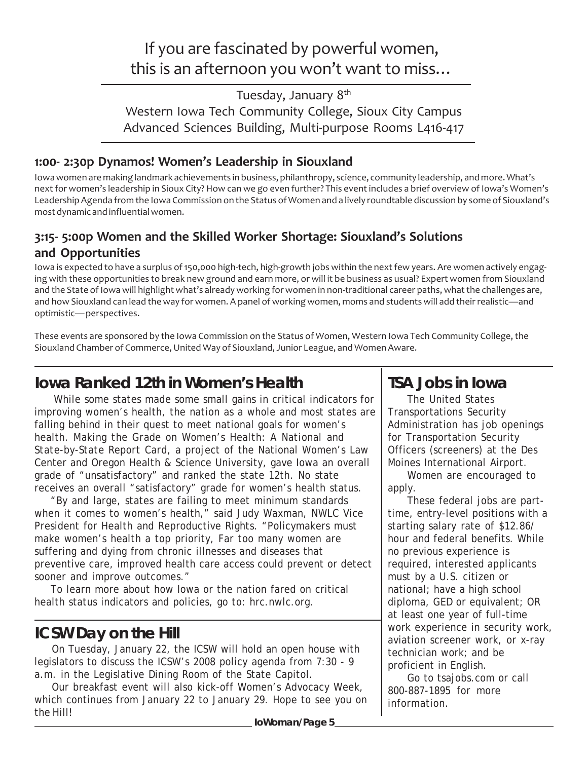# If you are fascinated by powerful women, this is an afternoon you won't want to miss…

Tuesday, January 8<sup>th</sup>

Western Iowa Tech Community College, Sioux City Campus Advanced Sciences Building, Multi-purpose Rooms L416-417

### **1:00- 2:30p Dynamos! Women's Leadership in Siouxland**

Iowa women are making landmark achievements in business, philanthropy, science, community leadership, and more. What's next for women's leadership in Sioux City? How can we go even further? This event includes a brief overview of Iowa's Women's Leadership Agenda from the Iowa Commission on the Status of Women and a lively roundtable discussion by some of Siouxland's most dynamic and influential women.

### **3:15- 5:00p Women and the Skilled Worker Shortage: Siouxland's Solutions and Opportunities**

Iowa is expected to have a surplus of 150,000 high-tech, high-growth jobs within the next few years. Are women actively engaging with these opportunities to break new ground and earn more, or will it be business as usual? Expert women from Siouxland and the State of Iowa will highlight what's already working for women in non-traditional career paths, what the challenges are, and how Siouxland can lead the way for women. A panel of working women, moms and students will add their realistic—and optimistic— perspectives.

These events are sponsored by the Iowa Commission on the Status of Women, Western Iowa Tech Community College, the Siouxland Chamber of Commerce, United Way of Siouxland, Junior League, and Women Aware.

# **Iowa Ranked 12th in Women's Health**

While some states made some small gains in critical indicators for improving women's health, the nation as a whole and most states are falling behind in their quest to meet national goals for women's health. *Making the Grade on Women's Health: A National and State-by-State Report Card*, a project of the National Women's Law Center and Oregon Health & Science University, gave Iowa an overall grade of "unsatisfactory" and ranked the state 12th. No state receives an overall "satisfactory" grade for women's health status.

"By and large, states are failing to meet minimum standards when it comes to women's health," said Judy Waxman, NWLC Vice President for Health and Reproductive Rights. "Policymakers must make women's health a top priority, Far too many women are suffering and dying from chronic illnesses and diseases that preventive care, improved health care access could prevent or detect sooner and improve outcomes."

To learn more about how Iowa or the nation fared on critical health status indicators and policies, go to: hrc.nwlc.org.

# **ICSW Day on the Hill**

On Tuesday, January 22, the ICSW will hold an open house with legislators to discuss the ICSW's 2008 policy agenda from 7:30 - 9 a.m. in the Legislative Dining Room of the State Capitol.

Our breakfast event will also kick-off Women's Advocacy Week, which continues from January 22 to January 29. Hope to see you on the Hill!

# **TSA Jobs in Iowa**

The United States Transportations Security Administration has job openings for Transportation Security Officers (screeners) at the Des Moines International Airport.

Women are encouraged to apply.

These federal jobs are parttime, entry-level positions with a starting salary rate of \$12.86/ hour and federal benefits. While no previous experience is required, interested applicants must by a U.S. citizen or national; have a high school diploma, GED or equivalent; OR at least one year of full-time work experience in security work, aviation screener work, or x-ray technician work; and be proficient in English.

Go to tsajobs.com or call 800-887-1895 for more information.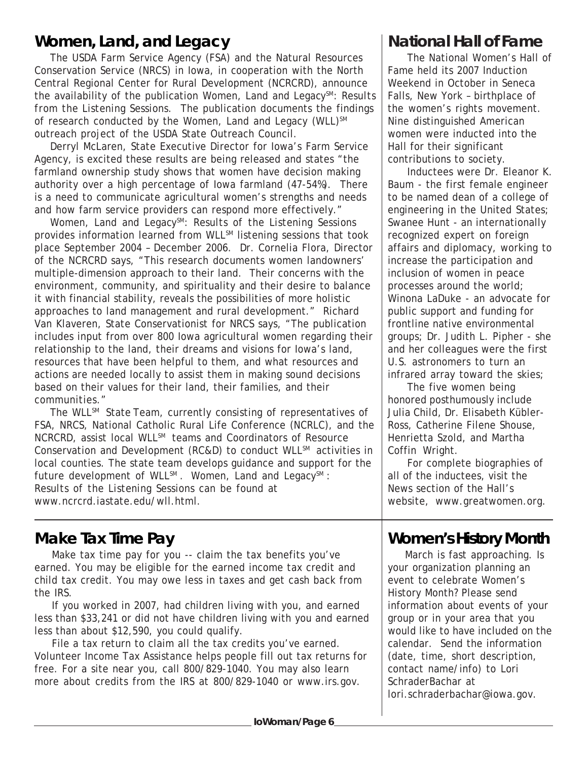# **Women, Land, and Legacy**

The USDA Farm Service Agency (FSA) and the Natural Resources Conservation Service (NRCS) in Iowa, in cooperation with the North Central Regional Center for Rural Development (NCRCRD), announce the availability of the publication *Women, Land and Legacy<sup>SM</sup>: Results from the Listening Sessions.* The publication documents the findings of research conducted by the Women, Land and Legacy (WLL)<sup>SM</sup> outreach project of the USDA State Outreach Council.

Derryl McLaren, State Executive Director for Iowa's Farm Service Agency, is excited these results are being released and states "the farmland ownership study shows that women have decision making authority over a high percentage of Iowa farmland (47-54%). There is a need to communicate agricultural women's strengths and needs and how farm service providers can respond more effectively."

*Women, Land and LegacySM: Results of the Listening Sessions* provides information learned from WLLSM listening sessions that took place September 2004 – December 2006. Dr. Cornelia Flora, Director of the NCRCRD says, "This research documents women landowners' multiple-dimension approach to their land. Their concerns with the environment, community, and spirituality and their desire to balance it with financial stability, reveals the possibilities of more holistic approaches to land management and rural development." Richard Van Klaveren, State Conservationist for NRCS says, "The publication includes input from over 800 Iowa agricultural women regarding their relationship to the land, their dreams and visions for Iowa's land, resources that have been helpful to them, and what resources and actions are needed locally to assist them in making sound decisions based on their values for their land, their families, and their communities."

The WLL<sup>SM</sup> State Team, currently consisting of representatives of FSA, NRCS, National Catholic Rural Life Conference (NCRLC), and the NCRCRD, assist local WLL<sup>SM</sup> teams and Coordinators of Resource Conservation and Development (RC&D) to conduct WLL<sup>SM</sup> activities in local counties. The state team develops guidance and support for the future development of WLLSM . *Women, Land and LegacySM* : *Results of the Listening Sessions* can be found at www.ncrcrd.iastate.edu/wll.html.

# **National Hall of Fame**

The National Women's Hall of Fame held its 2007 Induction Weekend in October in Seneca Falls, New York – birthplace of the women's rights movement. Nine distinguished American women were inducted into the Hall for their significant contributions to society.

Inductees were Dr. Eleanor K. Baum - the first female engineer to be named dean of a college of engineering in the United States; Swanee Hunt - an internationally recognized expert on foreign affairs and diplomacy, working to increase the participation and inclusion of women in peace processes around the world; Winona LaDuke - an advocate for public support and funding for frontline native environmental groups; Dr. Judith L. Pipher - she and her colleagues were the first U.S. astronomers to turn an infrared array toward the skies;

The five women being honored posthumously include Julia Child, Dr. Elisabeth Kübler-Ross, Catherine Filene Shouse, Henrietta Szold, and Martha Coffin Wright.

For complete biographies of all of the inductees, visit the News section of the Hall's website, www.greatwomen.org.

# **Make Tax Time Pay**

Make tax time pay for you -- claim the tax benefits you've earned. You may be eligible for the earned income tax credit and child tax credit. You may owe less in taxes and get cash back from the IRS.

If you worked in 2007, had children living with you, and earned less than \$33,241 or did not have children living with you and earned less than about \$12,590, you could qualify.

File a tax return to claim all the tax credits you've earned. Volunteer Income Tax Assistance helps people fill out tax returns for free. For a site near you, call 800/829-1040. You may also learn more about credits from the IRS at 800/829-1040 or www.irs.gov.

### **Women's History Month** March is fast approaching. Is

your organization planning an event to celebrate Women's History Month? Please send information about events of your group or in your area that you would like to have included on the calendar. Send the information (date, time, short description, contact name/info) to Lori SchraderBachar at lori.schraderbachar@iowa.gov.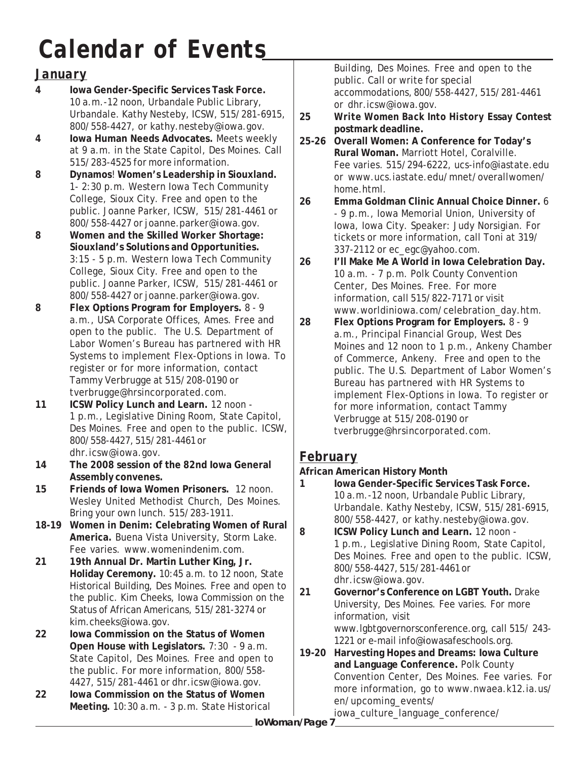# *Calendar of Events*

# *January*

- **4 Iowa Gender-Specific Services Task Force.** 10 a.m.-12 noon, Urbandale Public Library, Urbandale. Kathy Nesteby, ICSW, 515/281-6915, 800/558-4427, or kathy.nesteby@iowa.gov.
- **4 Iowa Human Needs Advocates.** Meets weekly at 9 a.m. in the State Capitol, Des Moines. Call 515/283-4525 for more information.
- **8 Dynamos**! **Women's Leadership in Siouxland.** 1- 2:30 p.m. Western Iowa Tech Community College, Sioux City. Free and open to the public. Joanne Parker, ICSW, 515/281-4461 or 800/558-4427 or joanne.parker@iowa.gov.
- **8 Women and the Skilled Worker Shortage: Siouxland's Solutions and Opportunities.** 3:15 - 5 p.m. Western Iowa Tech Community College, Sioux City. Free and open to the public. Joanne Parker, ICSW, 515/281-4461 or 800/558-4427 or joanne.parker@iowa.gov.
- **8 Flex Options Program for Employers.** 8 9 a.m., USA Corporate Offices, Ames. Free and open to the public. The U.S. Department of Labor Women's Bureau has partnered with HR Systems to implement Flex-Options in Iowa. To register or for more information, contact Tammy Verbrugge at 515/208-0190 or tverbrugge@hrsincorporated.com.
- **11 ICSW Policy Lunch and Learn.** 12 noon 1 p.m., Legislative Dining Room, State Capitol, Des Moines. Free and open to the public. ICSW, 800/558-4427, 515/281-4461 or dhr.icsw@iowa.gov.
- **14 The 2008 session of the 82nd Iowa General Assembly convenes.**
- **15 Friends of Iowa Women Prisoners.** 12 noon. Wesley United Methodist Church, Des Moines. Bring your own lunch. 515/283-1911.
- **18-19 Women in Denim: Celebrating Women of Rural America.** Buena Vista University, Storm Lake. Fee varies. www.womenindenim.com.
- **21 19th Annual Dr. Martin Luther King, Jr. Holiday Ceremony.** 10:45 a.m. to 12 noon, State Historical Building, Des Moines. Free and open to the public. Kim Cheeks, Iowa Commission on the Status of African Americans, 515/281-3274 or kim.cheeks@iowa.gov.
- **22 Iowa Commission on the Status of Women Open House with Legislators.** 7:30 - 9 a.m. State Capitol, Des Moines. Free and open to the public. For more information, 800/558- 4427, 515/281-4461 or dhr.icsw@iowa.gov.
- **22 Iowa Commission on the Status of Women Meeting.** 10:30 a.m. - 3 p.m. State Historical

Building, Des Moines. Free and open to the public. Call or write for special accommodations, 800/558-4427, 515/281-4461 or dhr.icsw@iowa.gov.

- **25** *Write Women Back Into History* **Essay Contest postmark deadline.**
- **25-26 Overall Women: A Conference for Today's Rural Woman.** Marriott Hotel, Coralville. Fee varies. 515/294-6222, ucs-info@iastate.edu or www.ucs.iastate.edu/mnet/overallwomen/ home.html.
- **26 Emma Goldman Clinic Annual Choice Dinner.** 6 - 9 p.m., Iowa Memorial Union, University of Iowa, Iowa City. Speaker: Judy Norsigian. For tickets or more information, call Toni at 319/ 337-2112 or ec\_egc@yahoo.com.
- **26 I'll Make Me A World in Iowa Celebration Day.** 10 a.m. - 7 p.m. Polk County Convention Center, Des Moines. Free. For more information, call 515/822-7171 or visit www.worldiniowa.com/celebration\_day.htm.
- **28 Flex Options Program for Employers.** 8 9 a.m., Principal Financial Group, West Des Moines and 12 noon to 1 p.m., Ankeny Chamber of Commerce, Ankeny. Free and open to the public. The U.S. Department of Labor Women's Bureau has partnered with HR Systems to implement Flex-Options in Iowa. To register or for more information, contact Tammy Verbrugge at 515/208-0190 or tverbrugge@hrsincorporated.com.

# *February*

### **African American History Month**

- **1 Iowa Gender-Specific Services Task Force.** 10 a.m.-12 noon, Urbandale Public Library, Urbandale. Kathy Nesteby, ICSW, 515/281-6915, 800/558-4427, or kathy.nesteby@iowa.gov.
- **8 ICSW Policy Lunch and Learn.** 12 noon 1 p.m., Legislative Dining Room, State Capitol, Des Moines. Free and open to the public. ICSW, 800/558-4427, 515/281-4461 or dhr.icsw@iowa.gov.
- **21 Governor's Conference on LGBT Youth.** Drake University, Des Moines. Fee varies. For more information, visit www.lgbtgovernorsconference.org, call 515/ 243- 1221 or e-mail info@iowasafeschools.org.
- **19-20 Harvesting Hopes and Dreams: Iowa Culture and Language Conference.** Polk County Convention Center, Des Moines. Fee varies. For more information, go to www.nwaea.k12.ia.us/ en/upcoming\_events/

iowa\_culture\_language\_conference/ *IoWoman***/Page 7**